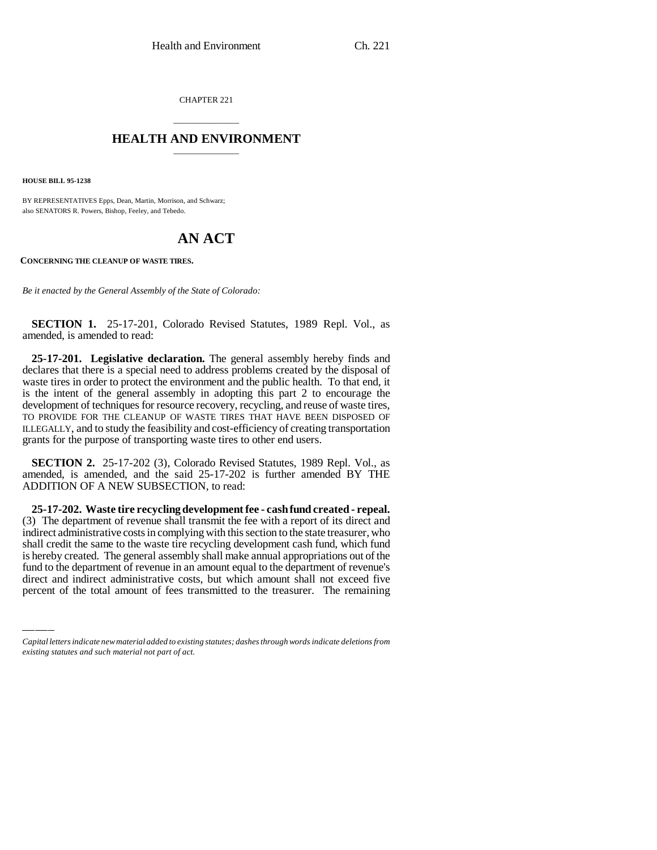CHAPTER 221

## \_\_\_\_\_\_\_\_\_\_\_\_\_\_\_ **HEALTH AND ENVIRONMENT** \_\_\_\_\_\_\_\_\_\_\_\_\_\_\_

**HOUSE BILL 95-1238**

BY REPRESENTATIVES Epps, Dean, Martin, Morrison, and Schwarz; also SENATORS R. Powers, Bishop, Feeley, and Tebedo.

# **AN ACT**

**CONCERNING THE CLEANUP OF WASTE TIRES.**

*Be it enacted by the General Assembly of the State of Colorado:*

**SECTION 1.** 25-17-201, Colorado Revised Statutes, 1989 Repl. Vol., as amended, is amended to read:

**25-17-201. Legislative declaration.** The general assembly hereby finds and declares that there is a special need to address problems created by the disposal of waste tires in order to protect the environment and the public health. To that end, it is the intent of the general assembly in adopting this part 2 to encourage the development of techniques for resource recovery, recycling, and reuse of waste tires, TO PROVIDE FOR THE CLEANUP OF WASTE TIRES THAT HAVE BEEN DISPOSED OF ILLEGALLY, and to study the feasibility and cost-efficiency of creating transportation grants for the purpose of transporting waste tires to other end users.

**SECTION 2.** 25-17-202 (3), Colorado Revised Statutes, 1989 Repl. Vol., as amended, is amended, and the said 25-17-202 is further amended BY THE ADDITION OF A NEW SUBSECTION, to read:

shall create the same to the waste the recycling development cash rund, which rund<br>is hereby created. The general assembly shall make annual appropriations out of the **25-17-202. Waste tire recycling development fee - cash fund created - repeal.** (3) The department of revenue shall transmit the fee with a report of its direct and indirect administrative costs in complying with this section to the state treasurer, who shall credit the same to the waste tire recycling development cash fund, which fund fund to the department of revenue in an amount equal to the department of revenue's direct and indirect administrative costs, but which amount shall not exceed five percent of the total amount of fees transmitted to the treasurer. The remaining

*Capital letters indicate new material added to existing statutes; dashes through words indicate deletions from existing statutes and such material not part of act.*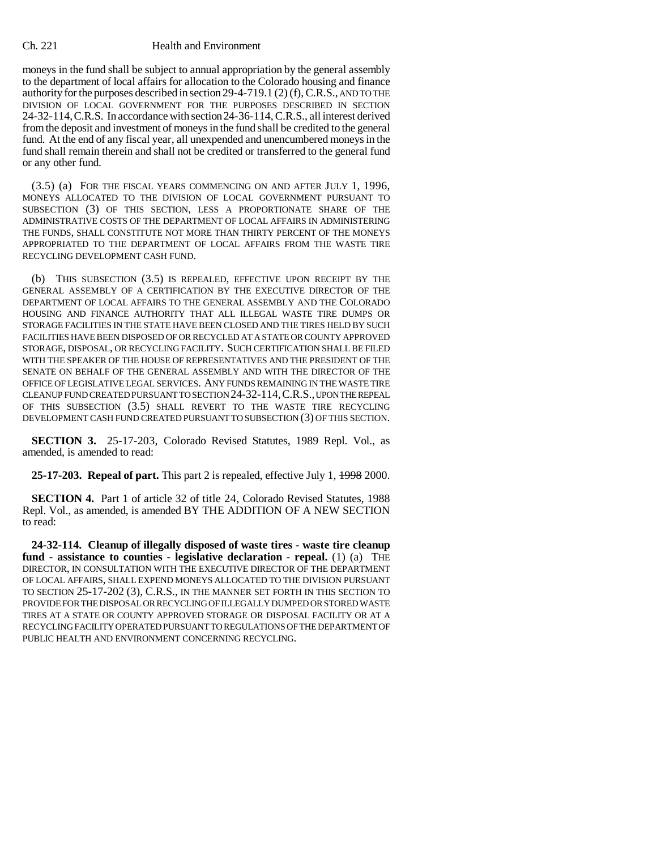### Ch. 221 Health and Environment

moneys in the fund shall be subject to annual appropriation by the general assembly to the department of local affairs for allocation to the Colorado housing and finance authority for the purposes described in section 29-4-719.1 (2) (f), C.R.S., AND TO THE DIVISION OF LOCAL GOVERNMENT FOR THE PURPOSES DESCRIBED IN SECTION 24-32-114,C.R.S. In accordance with section 24-36-114, C.R.S., all interest derived from the deposit and investment of moneys in the fund shall be credited to the general fund. At the end of any fiscal year, all unexpended and unencumbered moneys in the fund shall remain therein and shall not be credited or transferred to the general fund or any other fund.

(3.5) (a) FOR THE FISCAL YEARS COMMENCING ON AND AFTER JULY 1, 1996, MONEYS ALLOCATED TO THE DIVISION OF LOCAL GOVERNMENT PURSUANT TO SUBSECTION (3) OF THIS SECTION, LESS A PROPORTIONATE SHARE OF THE ADMINISTRATIVE COSTS OF THE DEPARTMENT OF LOCAL AFFAIRS IN ADMINISTERING THE FUNDS, SHALL CONSTITUTE NOT MORE THAN THIRTY PERCENT OF THE MONEYS APPROPRIATED TO THE DEPARTMENT OF LOCAL AFFAIRS FROM THE WASTE TIRE RECYCLING DEVELOPMENT CASH FUND.

(b) THIS SUBSECTION (3.5) IS REPEALED, EFFECTIVE UPON RECEIPT BY THE GENERAL ASSEMBLY OF A CERTIFICATION BY THE EXECUTIVE DIRECTOR OF THE DEPARTMENT OF LOCAL AFFAIRS TO THE GENERAL ASSEMBLY AND THE COLORADO HOUSING AND FINANCE AUTHORITY THAT ALL ILLEGAL WASTE TIRE DUMPS OR STORAGE FACILITIES IN THE STATE HAVE BEEN CLOSED AND THE TIRES HELD BY SUCH FACILITIES HAVE BEEN DISPOSED OF OR RECYCLED AT A STATE OR COUNTY APPROVED STORAGE, DISPOSAL, OR RECYCLING FACILITY. SUCH CERTIFICATION SHALL BE FILED WITH THE SPEAKER OF THE HOUSE OF REPRESENTATIVES AND THE PRESIDENT OF THE SENATE ON BEHALF OF THE GENERAL ASSEMBLY AND WITH THE DIRECTOR OF THE OFFICE OF LEGISLATIVE LEGAL SERVICES. ANY FUNDS REMAINING IN THE WASTE TIRE CLEANUP FUND CREATED PURSUANT TO SECTION 24-32-114,C.R.S., UPON THE REPEAL OF THIS SUBSECTION (3.5) SHALL REVERT TO THE WASTE TIRE RECYCLING DEVELOPMENT CASH FUND CREATED PURSUANT TO SUBSECTION (3) OF THIS SECTION.

**SECTION 3.** 25-17-203, Colorado Revised Statutes, 1989 Repl. Vol., as amended, is amended to read:

**25-17-203. Repeal of part.** This part 2 is repealed, effective July 1, 1998 2000.

**SECTION 4.** Part 1 of article 32 of title 24, Colorado Revised Statutes, 1988 Repl. Vol., as amended, is amended BY THE ADDITION OF A NEW SECTION to read:

**24-32-114. Cleanup of illegally disposed of waste tires - waste tire cleanup fund - assistance to counties - legislative declaration - repeal.** (1) (a) THE DIRECTOR, IN CONSULTATION WITH THE EXECUTIVE DIRECTOR OF THE DEPARTMENT OF LOCAL AFFAIRS, SHALL EXPEND MONEYS ALLOCATED TO THE DIVISION PURSUANT TO SECTION 25-17-202 (3), C.R.S., IN THE MANNER SET FORTH IN THIS SECTION TO PROVIDE FOR THE DISPOSAL OR RECYCLING OF ILLEGALLY DUMPED OR STORED WASTE TIRES AT A STATE OR COUNTY APPROVED STORAGE OR DISPOSAL FACILITY OR AT A RECYCLING FACILITY OPERATED PURSUANT TO REGULATIONS OF THE DEPARTMENT OF PUBLIC HEALTH AND ENVIRONMENT CONCERNING RECYCLING.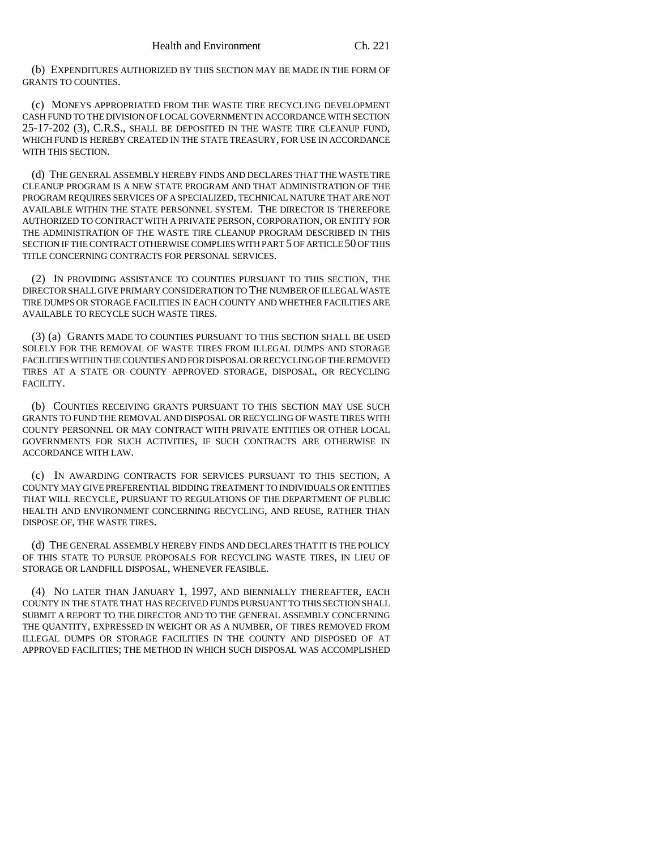(b) EXPENDITURES AUTHORIZED BY THIS SECTION MAY BE MADE IN THE FORM OF GRANTS TO COUNTIES.

(c) MONEYS APPROPRIATED FROM THE WASTE TIRE RECYCLING DEVELOPMENT CASH FUND TO THE DIVISION OF LOCAL GOVERNMENT IN ACCORDANCE WITH SECTION 25-17-202 (3), C.R.S., SHALL BE DEPOSITED IN THE WASTE TIRE CLEANUP FUND, WHICH FUND IS HEREBY CREATED IN THE STATE TREASURY, FOR USE IN ACCORDANCE WITH THIS SECTION.

(d) THE GENERAL ASSEMBLY HEREBY FINDS AND DECLARES THAT THE WASTE TIRE CLEANUP PROGRAM IS A NEW STATE PROGRAM AND THAT ADMINISTRATION OF THE PROGRAM REQUIRES SERVICES OF A SPECIALIZED, TECHNICAL NATURE THAT ARE NOT AVAILABLE WITHIN THE STATE PERSONNEL SYSTEM. THE DIRECTOR IS THEREFORE AUTHORIZED TO CONTRACT WITH A PRIVATE PERSON, CORPORATION, OR ENTITY FOR THE ADMINISTRATION OF THE WASTE TIRE CLEANUP PROGRAM DESCRIBED IN THIS SECTION IF THE CONTRACT OTHERWISE COMPLIES WITH PART 5 OF ARTICLE 50 OF THIS TITLE CONCERNING CONTRACTS FOR PERSONAL SERVICES.

(2) IN PROVIDING ASSISTANCE TO COUNTIES PURSUANT TO THIS SECTION, THE DIRECTOR SHALL GIVE PRIMARY CONSIDERATION TO THE NUMBER OF ILLEGAL WASTE TIRE DUMPS OR STORAGE FACILITIES IN EACH COUNTY AND WHETHER FACILITIES ARE AVAILABLE TO RECYCLE SUCH WASTE TIRES.

(3) (a) GRANTS MADE TO COUNTIES PURSUANT TO THIS SECTION SHALL BE USED SOLELY FOR THE REMOVAL OF WASTE TIRES FROM ILLEGAL DUMPS AND STORAGE FACILITIES WITHIN THE COUNTIES AND FOR DISPOSAL OR RECYCLING OF THE REMOVED TIRES AT A STATE OR COUNTY APPROVED STORAGE, DISPOSAL, OR RECYCLING FACILITY.

(b) COUNTIES RECEIVING GRANTS PURSUANT TO THIS SECTION MAY USE SUCH GRANTS TO FUND THE REMOVAL AND DISPOSAL OR RECYCLING OF WASTE TIRES WITH COUNTY PERSONNEL OR MAY CONTRACT WITH PRIVATE ENTITIES OR OTHER LOCAL GOVERNMENTS FOR SUCH ACTIVITIES, IF SUCH CONTRACTS ARE OTHERWISE IN ACCORDANCE WITH LAW.

(c) IN AWARDING CONTRACTS FOR SERVICES PURSUANT TO THIS SECTION, A COUNTY MAY GIVE PREFERENTIAL BIDDING TREATMENT TO INDIVIDUALS OR ENTITIES THAT WILL RECYCLE, PURSUANT TO REGULATIONS OF THE DEPARTMENT OF PUBLIC HEALTH AND ENVIRONMENT CONCERNING RECYCLING, AND REUSE, RATHER THAN DISPOSE OF, THE WASTE TIRES.

(d) THE GENERAL ASSEMBLY HEREBY FINDS AND DECLARES THAT IT IS THE POLICY OF THIS STATE TO PURSUE PROPOSALS FOR RECYCLING WASTE TIRES, IN LIEU OF STORAGE OR LANDFILL DISPOSAL, WHENEVER FEASIBLE.

(4) NO LATER THAN JANUARY 1, 1997, AND BIENNIALLY THEREAFTER, EACH COUNTY IN THE STATE THAT HAS RECEIVED FUNDS PURSUANT TO THIS SECTION SHALL SUBMIT A REPORT TO THE DIRECTOR AND TO THE GENERAL ASSEMBLY CONCERNING THE QUANTITY, EXPRESSED IN WEIGHT OR AS A NUMBER, OF TIRES REMOVED FROM ILLEGAL DUMPS OR STORAGE FACILITIES IN THE COUNTY AND DISPOSED OF AT APPROVED FACILITIES; THE METHOD IN WHICH SUCH DISPOSAL WAS ACCOMPLISHED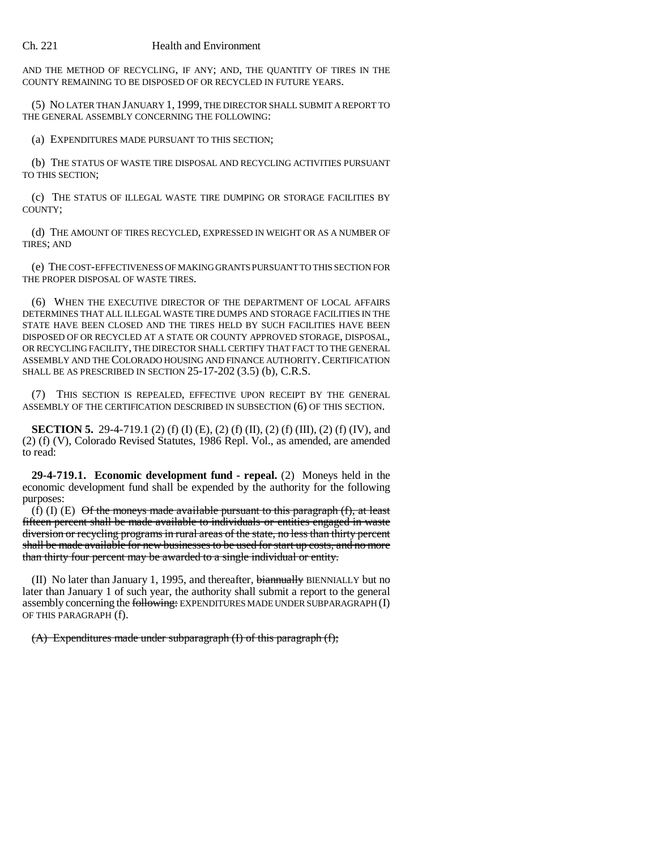#### Ch. 221 Health and Environment

AND THE METHOD OF RECYCLING, IF ANY; AND, THE QUANTITY OF TIRES IN THE COUNTY REMAINING TO BE DISPOSED OF OR RECYCLED IN FUTURE YEARS.

(5) NO LATER THAN JANUARY 1, 1999, THE DIRECTOR SHALL SUBMIT A REPORT TO THE GENERAL ASSEMBLY CONCERNING THE FOLLOWING:

(a) EXPENDITURES MADE PURSUANT TO THIS SECTION;

(b) THE STATUS OF WASTE TIRE DISPOSAL AND RECYCLING ACTIVITIES PURSUANT TO THIS SECTION;

(c) THE STATUS OF ILLEGAL WASTE TIRE DUMPING OR STORAGE FACILITIES BY COUNTY;

(d) THE AMOUNT OF TIRES RECYCLED, EXPRESSED IN WEIGHT OR AS A NUMBER OF TIRES; AND

(e) THE COST-EFFECTIVENESS OF MAKING GRANTS PURSUANT TO THIS SECTION FOR THE PROPER DISPOSAL OF WASTE TIRES.

(6) WHEN THE EXECUTIVE DIRECTOR OF THE DEPARTMENT OF LOCAL AFFAIRS DETERMINES THAT ALL ILLEGAL WASTE TIRE DUMPS AND STORAGE FACILITIES IN THE STATE HAVE BEEN CLOSED AND THE TIRES HELD BY SUCH FACILITIES HAVE BEEN DISPOSED OF OR RECYCLED AT A STATE OR COUNTY APPROVED STORAGE, DISPOSAL, OR RECYCLING FACILITY, THE DIRECTOR SHALL CERTIFY THAT FACT TO THE GENERAL ASSEMBLY AND THE COLORADO HOUSING AND FINANCE AUTHORITY.CERTIFICATION SHALL BE AS PRESCRIBED IN SECTION 25-17-202 (3.5) (b), C.R.S.

(7) THIS SECTION IS REPEALED, EFFECTIVE UPON RECEIPT BY THE GENERAL ASSEMBLY OF THE CERTIFICATION DESCRIBED IN SUBSECTION (6) OF THIS SECTION.

**SECTION 5.** 29-4-719.1 (2) (f) (I) (E), (2) (f) (II), (2) (f) (III), (2) (f) (IV), and (2) (f) (V), Colorado Revised Statutes, 1986 Repl. Vol., as amended, are amended to read:

**29-4-719.1. Economic development fund - repeal.** (2) Moneys held in the economic development fund shall be expended by the authority for the following purposes:

(f) (I)  $(E)$  Of the moneys made available pursuant to this paragraph  $(f)$ , at least fifteen percent shall be made available to individuals or entities engaged in waste diversion or recycling programs in rural areas of the state, no less than thirty percent shall be made available for new businesses to be used for start up costs, and no more than thirty four percent may be awarded to a single individual or entity.

(II) No later than January 1, 1995, and thereafter, biannually BIENNIALLY but no later than January 1 of such year, the authority shall submit a report to the general assembly concerning the following: EXPENDITURES MADE UNDER SUBPARAGRAPH (I) OF THIS PARAGRAPH (f).

(A) Expenditures made under subparagraph (I) of this paragraph (f);